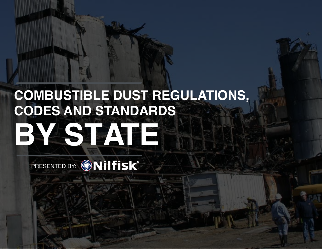# **COMBUSTIBLE DUST REGULATIONS, CODES AND STANDARDS BY ASTATE**

PRESENTED BY: @Nilfisk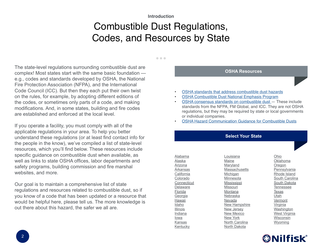#### **Introduction**

### Combustible Dust Regulations, Codes, and Resources by State

#### $\bullet\bullet\bullet$

<span id="page-1-0"></span>The state-level regulations surrounding combustible dust are complex! Most states start with the same basic foundation e.g., codes and standards developed by OSHA, the National Fire Protection Association (NFPA), and the International Code Council (ICC). But then they each put their own twist on the rules, for example, by adopting different editions of the codes, or sometimes only parts of a code, and making modifications. And, in some states, building and fire codes are established and enforced at the local level.

If you operate a facility, you must comply with all of the applicable regulations in your area. To help you better understand these regulations (or at least find contact info for the people in the know), we've compiled a list of state-level resources, which you'll find below. These resources include specific guidance on combustible dust when available, as well as links to state OSHA offices, labor departments and safety programs, building commission and fire marshal websites, and more.

Our goal is to maintain a comprehensive list of state regulations and resources related to combustible dust, so if you know of a code that has been updated or a resource that would be helpful here, please tell us. The more knowledge is out there about this hazard, the safer we all are.

# **OSHA Resources**

- [OSHA standards that address combustible dust hazards](https://www.osha.gov/dsg/combustibledust/standards.html)
- [OSHA Combustible Dust National Emphasis Program](https://www.osha.gov/OshDoc/Directive_pdf/CPL_03-00-008.pdf)
- [OSHA consensus standards on combustible dust](https://www.osha.gov/dsg/combustibledust/consensus.html)  These include standards from the NFPA, FM Global, and ICC. They are not OSHA regulations, but they may be required by state or local governments or individual companies.
- [OSHA Hazard Communication Guidance for Combustible Dusts](https://www.osha.gov/Publications/3371combustible-dust.html)

#### **Select Your State**

[Alabama](#page-2-0) [Alaska](#page-2-0) [Arizona](#page-2-0) [Arkansas](#page-2-0) [California](#page-3-0) [Colorado](#page-3-0) **[Connecticut](#page-3-0)** [Delaware](#page-3-0) [Florida](#page-4-0) **[Georgia](#page-4-0)** [Hawaii](#page-4-0) [Idaho](#page-5-0) [Illinois](#page-5-0) [Indiana](#page-5-0) [Iowa](#page-5-0) [Kansas](#page-6-0) **[Kentucky](#page-6-0)** 

[Louisiana](#page-6-0) [Maine](#page-6-0) [Maryland](#page-7-0) **[Massachusetts](#page-7-0)** [Michigan](#page-7-0) [Minnesota](#page-8-0) **[Mississippi](#page-8-0) [Missouri](#page-8-0)** [Montana](#page-9-0) [Nebraska](#page-9-0) [Nevada](#page-9-0) [New Hampshire](#page-10-0) [New Jersey](#page-10-0) [New Mexico](#page-10-0) [New York](#page-11-0) [North Carolina](#page-11-0) [North Dakota](#page-12-0)

[Ohio](#page-12-0) [Oklahoma](#page-12-0) [Oregon](#page-12-0) [Pennsylvania](#page-13-0) [Rhode Island](#page-13-0) [South Carolina](#page-13-0) [South Dakota](#page-13-0) [Tennessee](#page-14-0) [Texas](#page-14-0) **[Utah](#page-14-0)** [Vermont](#page-15-0) **[Virginia](#page-15-0)** [Washington](#page-15-0) [West Virginia](#page-16-0) [Wisconsin](#page-16-0) [Wyoming](#page-16-0)

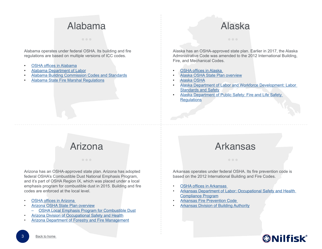#### Alabama

<span id="page-2-0"></span>Alabama operates under federal OSHA. Its building and fire regulations are based on multiple versions of ICC codes.

- **[OSHA offices in Alabama](https://www.osha.gov/oshdir/al.html)**
- [Alabama Department of Labor](http://www2.labor.alabama.gov/)
- [Alabama Building Commission Codes and Standards](http://bc.alabama.gov/buildingcode.htm)
- [Alabama State Fire Marshal Regulations](http://www.firemarshal.alabama.gov/Codes.aspx)

# Alaska

Alaska has an OSHA-approved state plan. Earlier in 2017, the Alaska Administrative Code was amended to the 2012 International Building, Fire, and Mechanical Codes.

- **OSHA offices in Alaska**
- [Alaska OSHA State Plan overview](https://www.osha.gov/dcsp/osp/stateprogs/alaska.html)
- [Alaska OSHA](http://labor.state.ak.us/lss/oshhome.htm)
- [Alaska Department of Labor and Workforce Development: Labor](http://labor.state.ak.us/lss/home.htm)  **[Standards and Safety](http://labor.state.ak.us/lss/home.htm)**
- [Alaska Department of Public Safety: Fire and Life Safety](http://dps.alaska.gov/Fire/regulations.aspx)  **[Regulations](http://dps.alaska.gov/Fire/regulations.aspx)**

### Arizona Arkansas

Arizona has an OSHA-approved state plan. Arizona has adopted federal OSHA's Combustible Dust National Emphasis Program, and it's part of OSHA Region IX, which was placed under a local emphasis program for combustible dust in 2015. Building and fire codes are enforced at the local level.

- [OSHA offices in Arizona](https://www.osha.gov/oshdir/az.html)
- [Arizona OSHA State Plan overview](https://www.osha.gov/dcsp/osp/stateprogs/arizona.html)
	- [OSHA Local Emphasis Program for Combustible Dust](https://www.osha.gov/dep/leps/RegionIX/reg9_FY16_Combustible_Dust_CPL-04-00-08.pdf)
- [Arizona Division of Occupational Safety and Health](https://www.azica.gov/divisions/adosh)
- [Arizona Department of Forestry and Fire Management](https://dffm.az.gov/)

Arkansas operates under federal OSHA. Its fire prevention code is based on the 2012 International Building and Fire Codes.

- [OSHA offices in Arkansas](https://www.osha.gov/oshdir/ar.html)
- [Arkansas Department of Labor: Occupational Safety and Health](http://www.labor.arkansas.gov/occupational-safety-and-health-compliance-program-aosh)  [Compliance Program](http://www.labor.arkansas.gov/occupational-safety-and-health-compliance-program-aosh)
- **Arkansas Fire Prevention Code**
- **[Arkansas Division of Building Authority](http://aba.arkansas.gov/Pages/default.aspx)**

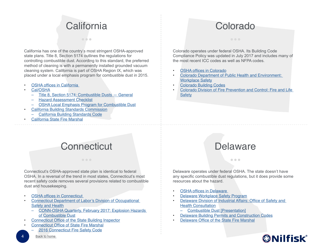### **California**

 $\bullet\bullet\bullet$ 

#### Colorado

<span id="page-3-0"></span>California has one of the country's most stringent OSHA-approved state plans. Title 8, Section 5174 outlines the regulations for controlling combustible dust. According to this standard, the preferred method of cleaning is with a permanently installed grounded vacuum cleaning system. California is part of OSHA Region IX, which was placed under a local emphasis program for combustible dust in 2015.

- [OSHA offices in California](https://www.osha.gov/oshdir/ca.html)
- [Cal/OSHA](http://www.dir.ca.gov/dosh/)
	- [Title 8, Section 5174: Combustible Dusts General](https://www.dir.ca.gov/title8/5174.html)
	- [Hazard Assessment Checklist](http://www.dir.ca.gov/dosh/etools/09-031/hazassesscheck.pdf)
	- [OSHA Local Emphasis Program for Combustible Dust](https://www.osha.gov/dep/leps/RegionIX/reg9_FY16_Combustible_Dust_CPL-04-00-08.pdf)
- [California Building Standards Commission](http://www.bsc.ca.gov/)
	- [California Building Standards Code](http://www.bsc.ca.gov/codes.aspx)
- [California State Fire Marshal](http://osfm.fire.ca.gov/)

#### Colorado operates under federal OSHA. Its Building Code Compliance Policy was updated in July 2017 and includes many of the most recent ICC codes as well as NFPA codes.

- [OSHA offices in Colorado](https://www.osha.gov/oshdir/co.html)
- [Colorado Department of Public Health and Environment:](https://www.colorado.gov/pacific/cdphe/workplace-safety)  [Workplace Safety](https://www.colorado.gov/pacific/cdphe/workplace-safety)
- [Colorado Building Codes](https://www.colorado.gov/pacific/osa/bldgcodes)
- [Colorado Division of Fire Prevention and Control: Fire and Life](https://www.colorado.gov/pacific/dfpc/fire-and-life-safety)  **[Safety](https://www.colorado.gov/pacific/dfpc/fire-and-life-safety)**

#### Connecticut Delaware

#### Connecticut's OSHA-approved state plan is identical to federal OSHA. In a reversal of the trend in most states, Connecticut's most recent safety code removes several provisions related to combustible dust and housekeeping.

- **OSHA offices in Connecticut**
- [Connecticut Department of Labor's Division of Occupational](https://www.ctdol.state.ct.us/osha/osha.htm)  [Safety and Health](https://www.ctdol.state.ct.us/osha/osha.htm)
	- [CONN-OSHA Quarterly, February 2017: Explosion Hazards](https://www.ctdol.state.ct.us/osha/Quarterly/February%202017.pdf)  [of Combustible Dust](https://www.ctdol.state.ct.us/osha/Quarterly/February%202017.pdf)
- [Connecticut Office of the State Building Inspector](http://www.ct.gov/dcs/cwp/view.asp?a=4447&q=521446)
- [Connecticut Office of State Fire Marshal](http://www.ct.gov/dcs/cwp/view.asp?a=4489&q=530894)
	- [2016 Connecticut Fire Safety Code](http://www.ct.gov/dcs/lib/dcs/2016_ct_state_fire_safety_code.pdf)

 $\bullet$   $\bullet$ 

Delaware operates under federal OSHA. The state doesn't have any specific combustible dust regulations, but it does provide some resources about the hazard.

- [OSHA offices in Delaware](https://www.osha.gov/oshdir/de.html)
- [Delaware Workplace Safety Program](http://insurance.delaware.gov/services/workplacesafetydiscount/)
- [Delaware Division of Industrial Affairs: Office of Safety and](https://dia.delawareworks.com/osha-consultation/)  **[Health Consultation](https://dia.delawareworks.com/osha-consultation/)** 
	- [Combustible Dust \[Presentation\]](https://dia.delawareworks.com/osha-consultation/documents/presentations/Combustible%20Dust.pptx)
- [Delaware Building Permits and Construction Codes](http://delcode.delaware.gov/title9/c044/index.shtml)
- [Delaware Office of the State Fire Marshal](http://statefiremarshal.delaware.gov/)

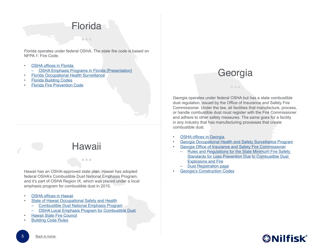#### **Florida**

<span id="page-4-0"></span>Florida operates under federal OSHA. The state fire code is based on NFPA 1: Fire Code.

- **OSHA offices in Florida** 
	- [OSHA Emphasis Programs in Florida \[Presentation\]](http://flaiha.wildapricot.org/Resources/Documents/Conferences/2012%20Spring%20Conference/Presentations/Spencer_AIHA2012.pdf)
- [Florida Occupational Health Surveillance](http://www.floridahealth.gov/Environmental-Health/occupational-health-surveillance/index.html)
- [Florida Building Codes](http://www.floridabuilding.org/bc/bc_default.aspx)
- [Florida Fire Prevention Code](http://www.myfloridacfo.com/division/sfm/BFP/FloridaFirePreventionCodePage.htm)

#### **Hawaii**

 $\bullet\bullet\bullet$ 

## Hawaii has an OSHA-approved state plan. Hawaii has adopted

federal OSHA's Combustible Dust National Emphasis Program, and it's part of OSHA Region IX, which was placed under a local emphasis program for combustible dust in 2015.

- **[OSHA offices in Hawaii](https://www.osha.gov/oshdir/hi.html)**
- [State of Hawaii Occupational Safety and Health](http://labor.hawaii.gov/hiosh/standards/)
	- [Combustible Dust National Emphasis Program](http://labor.hawaii.gov/hiosh/files/2013/01/combustible-dustCPL-03-00-008-tagged.pdf)
		- [OSHA Local Emphasis Program for Combustible Dust](https://www.osha.gov/dep/leps/RegionIX/reg9_FY16_Combustible_Dust_CPL-04-00-08.pdf)
- [Hawaii State Fire Council](http://labor.hawaii.gov/sfc/)
- [Building Code Rules](http://ags.hawaii.gov/bcc/building-code-rules/)

#### Georgia

Georgia operates under federal OSHA but has a state combustible dust regulation, issued by the Office of Insurance and Safety Fire Commissioner. Under the law, all facilities that manufacture, process, or handle combustible dust must register with the Fire Commissioner and adhere to other safety measures. The same goes for a facility in any industry that has manufacturing processes that create combustible dust.

- **OSHA offices in Georgia**
- [Georgia Occupational Health and Safety Surveillance Program](https://dph.georgia.gov/georgia-occupational-health-and-safety-surveillance-program)
- [Georgia Office of Insurance and Safety Fire Commissioner](https://www.oci.ga.gov/)
	- [Rules and Regulations for the State Minimum Fire Safety](https://www.oci.ga.gov/Externalresources/Documents/FireMarshal%20-%20Rules%20and%20Regulations/120-3-24%20Rules%20And%20Regulations%20For%20Loss%20Prevention%20Due%20To%20Combustible%20Dust%20Explosions%20and%20Fire.pdf)  [Standards for Loss Prevention Due to Combustible Dust](https://www.oci.ga.gov/Externalresources/Documents/FireMarshal%20-%20Rules%20and%20Regulations/120-3-24%20Rules%20And%20Regulations%20For%20Loss%20Prevention%20Due%20To%20Combustible%20Dust%20Explosions%20and%20Fire.pdf)  [Explosions and Fire](https://www.oci.ga.gov/Externalresources/Documents/FireMarshal%20-%20Rules%20and%20Regulations/120-3-24%20Rules%20And%20Regulations%20For%20Loss%20Prevention%20Due%20To%20Combustible%20Dust%20Explosions%20and%20Fire.pdf)
	- **[Dust Registration page](https://www.oci.ga.gov/safetymfg/DustRegistration.aspx)**
- **[Georgia's Construction Codes](http://www.dca.state.ga.us/development/constructioncodes/programs/codes2.asp)**

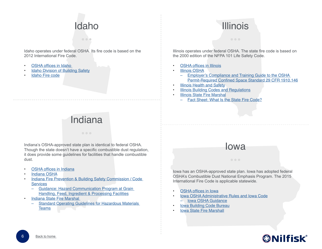## Idaho

o olo

<span id="page-5-0"></span>Idaho operates under federal OSHA. Its fire code is based on the 2012 International Fire Code.

- OSHA offices in Idaho
- **[Idaho Division of Building Safety](http://www.doi.idaho.gov/sfm/Docs/Idaho_Fire_Code_2012.pdf)**
- [Idaho Fire code](http://www.doi.idaho.gov/sfm/Docs/Idaho_Fire_Code_2012.pdf)

## Indiana

Indiana's OSHA-approved state plan is identical to federal OSHA. Though the state doesn't have a specific combustible dust regulation, it does provide some guidelines for facilities that handle combustible dust.

- [OSHA offices in Indiana](https://www.osha.gov/oshdir/in.html)
- [Indiana OSHA](https://www.in.gov/dol/iosha.htm)
- [Indiana Fire Prevention & Building Safety Commission / Code](http://www.in.gov/dhs/2375.htm)  **[Services](http://www.in.gov/dhs/2375.htm)** 
	- [Guidance: Hazard Communication Program at Grain](http://www.in.gov/dhs/files/Guidance_Document_on_Grain.pdf)  [Handling, Feed, Ingredient & Processing Facilities](http://www.in.gov/dhs/files/Guidance_Document_on_Grain.pdf)
- [Indiana State Fire Marshal](http://www.in.gov/dhs/3544.htm) 
	- [Standard Operating Guidelines for Hazardous Materials](http://www.in.gov/dhs/files/HMSOG.pdf)  [Teams](http://www.in.gov/dhs/files/HMSOG.pdf)

### Illinois

Illinois operates under federal OSHA. The state fire code is based on the 2000 edition of the NFPA 101 Life Safety Code.

- **[OSHA offices in Illinois](https://www.osha.gov/oshdir/il.html)**
- **[Illinois OSHA](https://www.illinois.gov/idol/Laws-Rules/safety/Pages/default.aspx)** 
	- [Employer's Compliance and Training Guide to the OSHA](https://www.illinois.gov/idol/Laws-Rules/safety/Documents/pdf/Books/Book-Cnfsp.PDF)  [Permit-Required Confined Space Standard 29 CFR 1910.146](https://www.illinois.gov/idol/Laws-Rules/safety/Documents/pdf/Books/Book-Cnfsp.PDF)
- **[Illinois Health and Safety](https://www2.illinois.gov/residents/health-safety)**
- **[Illinois Building Codes and Regulations](https://www.illinois.gov/cdb/business/codes/Pages/BuildingCodesRegulations.aspx)**
- **[Illinois State Fire Marshal](https://www2.illinois.gov/sites/sfm/Pages/default.aspx)** 
	- [Fact Sheet: What Is the State Fire Code?](https://www2.illinois.gov/sites/sfm/About/Documents/Fact%20Sheet-WhatIsTheStateFireCode.pdf)

#### Iowa

Iowa has an OSHA-approved state plan. Iowa has adopted federal OSHA's Combustible Dust National Emphasis Program. The 2015 International Fire Code is applicable statewide.

- [OSHA offices in Iowa](https://www.osha.gov/oshdir/ia.html)
- [Iowa OSHA Administrative Rules and Iowa Code](http://www.iowaosha.gov/iowa-osha-administrative-rules-and-iowa-code)
	- [Iowa OSHA Guidance](http://www.iowaosha.gov/iowa-osha-guidance)
- **[Iowa Building Code Bureau](http://www.dps.state.ia.us/fm/building/)**
- **[Iowa State Fire Marshall](http://www.dps.state.ia.us/fm/)**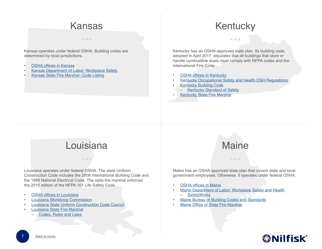#### Kansas

<span id="page-6-0"></span>Kansas operates under federal OSHA. Building codes are determined by local jurisdictions.

- **[OSHA offices in Kansas](https://www.osha.gov/oshdir/ks.html)**
- [Kansas Department of Labor: Workplace Safety](https://www.dol.ks.gov/(S(zrwzloo5zta5r0aejlfvgfjl))/Safety/Default.aspx)
- [Kansas State Fire Marshal: Code Listing](https://firemarshal.ks.gov/division/prevention/code-listing)

#### **Kentucky**

 $\bullet\bullet\bullet$ 

Kentucky has an OSHA-approved state plan. Its building code, adopted in April 2017, stipulates that all buildings that store or handle combustible dusts must comply with NFPA codes and the International Fire Code.

- **[OSHA offices in Kentucky](https://www.osha.gov/oshdir/ky.html)**
- [Kentucky Occupational Safety and Health OSH Regulations](http://www.labor.ky.gov/dows/oshp/oshr/Pages/OSH-Regulations.aspx)
- [Kentucky Building Code](http://dhbc.ky.gov/Documents/2013%20KBC%204th%20Edition%20(December%202015)%20-%206-22-2016.pdf)
	- [Kentucky Standard of Safety](http://www.lrc.ky.gov/kar/815/010/060.htm)
- **[Kentucky State Fire Marshal](http://dhbc.ky.gov/sfm/Pages/default.aspx)**

### Louisiana Maine

Louisiana operates under federal OSHA. The state Uniform Construction Code includes the 2006 International Building Code and the 1999 National Electrical Code. The state fire marshal enforces the 2015 edition of the NFPA 101 Life Safety Code.

- [OSHA offices in Louisiana](https://www.osha.gov/oshdir/la.html)
- [Louisiana Workforce Commission](http://www.laworks.net/Homepage.asp)
- [Louisiana State Uniform Construction Code Council](http://lsuccc.dps.louisiana.gov/)
- [Louisiana State Fire Marshal](http://sfm.dps.louisiana.gov/index.htm)
	- [Codes, Rules and Laws](http://sfm.dps.louisiana.gov/insp_crl.htm)



Maine has an OSHA-approved state plan that covers state and local government employees. Otherwise, it operates under federal OSHA.

- [OSHA offices in Maine](https://www.osha.gov/oshdir/me.html)
- [Maine Department of Labor: Workplace Safety and Health](https://www1.maine.gov/labor/workplace_safety/index.html) – [SafetyWorks](http://www.safetyworksmaine.gov/)
- [Maine Bureau of Building Codes and Standards](http://www.maine.gov/dps/bbcs/)
- [Maine Office of State Fire Marshal](http://www.maine.gov/dps/fmo/)

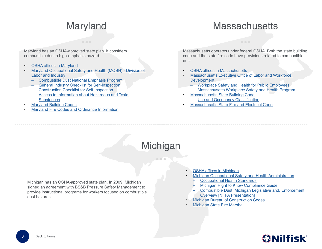#### Maryland

#### **Massachusetts**

<span id="page-7-0"></span>Maryland has an OSHA-approved state plan. It considers combustible dust a high-emphasis hazard.

- **[OSHA offices in Maryland](https://www.osha.gov/oshdir/md.html)**
- [Maryland Occupational Safety and Health \(MOSH\) Division of](http://www.dllr.state.md.us/labor/mosh/)  [Labor and Industry](http://www.dllr.state.md.us/labor/mosh/)
	- [Combustible Dust National Emphasis Program](http://www.dllr.state.md.us/labor/instructions/08-05app.shtml)
	- [General Industry Checklist for Self-Inspection](https://www.dllr.state.md.us/labor/mosh/pdf/genindchecklist.pdf)
	- [Construction Checklist for Self-Inspection](https://www.dllr.state.md.us/labor/mosh/pdf/constructionchecklist.pdf)
	- [Access to Information about Hazardous and Toxic](https://www.dllr.state.md.us/labor/rtkhaztox/wordrtkbrochure.pdf)  **[Substances](https://www.dllr.state.md.us/labor/rtkhaztox/wordrtkbrochure.pdf)**
- **[Maryland Building Codes](http://dhcd.maryland.gov/Codes/Pages/BuildingCodes.aspx)**
- [Maryland Fire Codes and Ordinance Information](http://dhcd.maryland.gov/Codes/Pages/FireCodes.aspx)

Massachusetts operates under federal OSHA. Both the state building code and the state fire code have provisions related to combustible dust.

- [OSHA offices in Massachusetts](https://www.osha.gov/oshdir/ma.html)
- [Massachusetts Executive Office of Labor and Workforce](http://www.mass.gov/lwd/)  **[Development](http://www.mass.gov/lwd/)** 
	- [Workplace Safety and Health for Public Employees](http://www.mass.gov/lwd/labor-standards/massachusetts-workplace-safety-and-health-program/)
	- [Massachusetts Workplace Safety and Health Program](http://www.mass.gov/lwd/labor-standards/massachusetts-workplace-safety-and-health-program/about-us.html)
- [Massachusetts State Building Code](http://www.mass.gov/ocabr/government/oca-agencies/dpl-lp/opsi/ma-state-building-code-780-cmr.html)
	- [Use and Occupancy Classification](http://www.mass.gov/eopss/agencies/dfs/osfm/fire-prev/527-cmr-index.html)
- [Massachusetts State Fire and Electrical Code](http://www.mass.gov/eopss/agencies/dfs/osfm/fire-prev/527-cmr-index.html)

#### **Michigan**

Michigan has an OSHA-approved state plan. In 2009, Michigan signed an agreement with BS&B Pressure Safety Management to provide instructional programs for workers focused on combustible dust hazards

- **[OSHA offices in Michigan](https://www.osha.gov/oshdir/mi.html)**
- [Michigan Occupational Safety and Health Administration](http://www.michigan.gov/lara/0,4601,7-154-11407---,00.html)
	- **[Occupational Health Standards](http://www.michigan.gov/documents/CIS_WSH_part431_35623_7.pdf)**
	- [Michigan Right to Know Compliance Guide](http://www.michigan.gov/documents/lara/lara_miosha_cetsp22_379146_7.doc)
	- [Combustible Dust: Michigan Legislative and. Enforcement](http://www.nfpa.org/~/media/files/news-and-research/proceedings/combustibledust.pdf?la=en)  [Overview \[NFPA Presentation\]](http://www.nfpa.org/~/media/files/news-and-research/proceedings/combustibledust.pdf?la=en)
- **[Michigan Bureau of Construction Codes](http://www.michigan.gov/lara/0,4601,7-154-10575---,00.html)**
- **[Michigan State Fire Marshal](http://www.michigan.gov/lara/0,4601,7-154-42271_42321---,00.html)**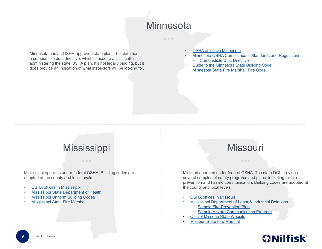

<span id="page-8-0"></span>Minnesota has an OSHA-approved state plan. The state has a combustible dust directive, which is used to assist staff in administering the state OSHA plan. It's not legally binding, but it does provide an indication of what inspectors will be looking for.

- **[OSHA offices in Minnesota](https://www.osha.gov/oshdir/mn.html)**
- [Minnesota OSHA Compliance -- Standards and Regulations](http://www.dli.mn.gov/OSHA/Standards.asp)
	- [Combustible Dust Directive](http://www.dli.mn.gov/osha/PDF/Directives/CPL_2.8_Combustible_Dust.pdf)
- [Guide to the Minnesota State Building Code](http://www.dli.mn.gov/ccld/PDF/guide_to_code.pdf)
- [Minnesota State Fire Marshal: Fire Code](https://dps.mn.gov/divisions/sfm/fire-code/Pages/default.aspx)

#### **Mississippi**

Mississippi operates under federal OSHA. Building codes are adopted at the county and local levels.

- **[OSHA offices in Mississippi](https://www.osha.gov/oshdir/ms.html)**
- [Mississippi State Department of Health](http://www.msdh.state.ms.us/)
- [Mississippi Uniform Building Codes](https://www.mid.ms.gov/ubc/ubc.aspx)
- [Mississippi State Fire Marshal](http://www.mid.ms.gov/sfm/state-fire-marshal.aspx#&panel1-1)

#### Missouri

Missouri operates under federal OSHA. The state DOL provides several samples of safety programs and plans, including for fire prevention and hazard communication. Building codes are adopted at the county and local levels.

- **[OSHA offices in Missouri](https://www.osha.gov/oshdir/mo.html)**
- [Mississippi Department of Labor & Industrial Relations](https://labor.mo.gov/DLS/workplaceSafety/osha_initiatives)
	- [Sample Fire-Prevention Plan](https://labor.mo.gov/DLS/workplaceSafety/fire_prevention)
	- [Sample Hazard Communication Program](https://labor.mo.gov/DLS/workplaceSafety/hazard_commun)
- **[Official Missouri State Website](https://www.mo.gov/)**
- [Missouri State Fire Marshal](https://dfs.dps.mo.gov/)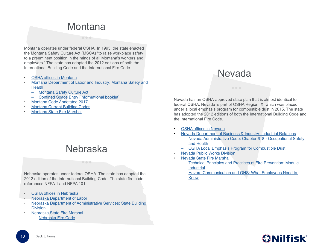#### **Montana**

 $\begin{array}{c} \bullet & \bullet & \bullet \end{array}$ 

<span id="page-9-0"></span>Montana operates under federal OSHA. In 1993, the state enacted the Montana Safety Culture Act (MSCA) "to raise workplace safety to a preeminent position in the minds of all Montana's workers and employers." The state has adopted the 2012 editions of both the International Building Code and the International Fire Code.

- **[OSHA offices in Montana](https://www.osha.gov/oshdir/mt.html)**
- [Montana Department of Labor and Industry: Montana Safety and](http://erd.dli.mt.gov/safety-health)  **[Health](http://erd.dli.mt.gov/safety-health)** 
	- [Montana Safety Culture Act](http://erd.dli.mt.gov/Portals/54/Documents/Safety-Health/Safety%20Culture%20Act.pdf?ver=2016-09-07-104121-863)
	- [Confined Space Entry \[Informational booklet\]](http://erd.dli.mt.gov/Portals/54/Documents/Publications/erd-sh-pub002.pdf?ver=2014-10-28-094149-893)
- [Montana Code Annotated 2017](http://leg.mt.gov/bills/mca/index.html)
- [Montana Current Building Codes](http://bsd.dli.mt.gov/building-codes-permits/building-permits/current-building-codes)
- [Montana State Fire Marshal](https://dojmt.gov/enforcement/investigations-bureau/fire-prevention/)

#### Nebraska

 $\bullet$   $\bullet$   $\bullet$ 

Nebraska operates under federal OSHA. The state has adopted the 2012 edition of the International Building Code. The state fire code references NFPA 1 and NFPA 101.

- [OSHA offices in Nebraska](https://www.osha.gov/oshdir/ne.html)
- [Nebraska Department of Labor](https://dol.nebraska.gov/)
- [Nebraska Department of Administrative Services: State Building](http://das.nebraska.gov/building/)  **[Division](http://das.nebraska.gov/building/)**
- [Nebraska State Fire Marshal](https://sfm.nebraska.gov/)
	- [Nebraska Fire Code](https://sfm.nebraska.gov/nebraska-fire-code)

#### Nevada

Nevada has an OSHA-approved state plan that is almost identical to federal OSHA. Nevada is part of OSHA Region IX, which was placed under a local emphasis program for combustible dust in 2015. The state has adopted the 2012 editions of both the International Building Code and the International Fire Code.

- **[OSHA offices in Nevada](https://www.osha.gov/oshdir/nv.html)**
- [Nevada Department of Business & Industry: Industrial Relations](http://dir.nv.gov/OSHA/Home/)
	- [Nevada Administrative Code: Chapter 618 Occupational Safety](https://www.leg.state.nv.us/nac/nac-618.html)  [and Health](https://www.leg.state.nv.us/nac/nac-618.html)
	- [OSHA Local Emphasis Program for Combustible Dust](http://publicworks.nv.gov/)
- [Nevada Public Works Division](http://publicworks.nv.gov/)
- [Nevada State Fire Marshal](http://fire.nv.gov/)
	- [Technical Principles and Practices of Fire Prevention: Module](httphttp://fire.nv.gov/uploadedFiles/firenvgov/content/bureaus/FST/IndustrialSM.pdf://)  **[Industrial](httphttp://fire.nv.gov/uploadedFiles/firenvgov/content/bureaus/FST/IndustrialSM.pdf://)**
	- [Hazard Communication and GHS: What Employees Need to](http://doc.nv.gov/uploadedFiles/docnvgov/content/About/Human_Resources/Updated%202015%20NDOC%20(GHS)%20Haz%20Com%20Training%20Program%20Short%20Ver.ppt)  [Know](http://doc.nv.gov/uploadedFiles/docnvgov/content/About/Human_Resources/Updated%202015%20NDOC%20(GHS)%20Haz%20Com%20Training%20Program%20Short%20Ver.ppt)

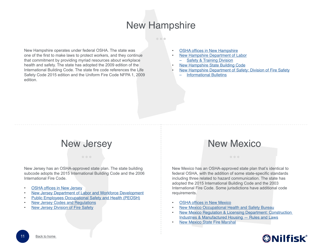#### New Hampshire

#### $\bullet$   $\bullet$

<span id="page-10-0"></span>New Hampshire operates under federal OSHA. The state was one of the first to make laws to protect workers, and they continue that commitment by providing myriad resources about workplace health and safety. The state has adopted the 2009 edition of the International Building Code. The state fire code references the Life Safety Code 2015 edition and the Uniform Fire Code NFPA 1, 2009 edition.

- **[OSHA offices in New Hampshire](https://www.osha.gov/oshdir/nh.html)**
- [New Hampshire Department of Labor](https://www.nh.gov/labor/)
	- [Safety & Training Division](https://www.nh.gov/labor/inspection/safety-training.htm)
- [New Hampshire State Building Code](https://www.nh.gov/safety/boardsandcommissions/bldgcode/nhstatebldgcode.html)
- [New Hampshire Department of Safety: Division of Fire Safety](https://www.nh.gov/safety/divisions/firesafety/)
	- [Informational Bulletins](https://www.nh.gov/safety/divisions/firesafety/bulletins/index.html)

#### New Jersey

New Jersey has an OSHA-approved state plan. The state building subcode adopts the 2015 International Building Code and the 2006 International Fire Code.

- [OSHA offices in New Jersey](https://www.osha.gov/oshdir/nj.html)
- [New Jersey Department of Labor and Workforce Development](http://lwd.dol.state.nj.us/)
- [Public Employees Occupational Safety and Health \(PEOSH\)](http://www.nj.gov/health/workplacehealthandsafety/peosh/)
- [New Jersey Codes and Regulations](http://www.state.nj.us/dca/divisions/codes/codreg/)
- [New Jersey Division of Fire Safety](http://www.nj.gov/dca/divisions/dfs/)

#### New Mexico

New Mexico has an OSHA-approved state plan that's identical to federal OSHA, with the addition of some state-specific standards including three related to hazard communication. The state has adopted the 2015 International Building Code and the 2003 International Fire Code. Some jurisdictions have additional code requirements.

- [OSHA offices in New Mexico](https://www.osha.gov/oshdir/nm.html)
- [New Mexico Occupational Health and Safety Bureau](https://www.env.nm.gov/Ohsb_Website/StatePlan/)
- [New Mexico Regulation & Licensing Department: Construction](http://www.rld.state.nm.us/construction/rules-laws-building-codes.aspx)  [Industries & Manufactured Housing — Rules and Laws](http://www.rld.state.nm.us/construction/rules-laws-building-codes.aspx)
- [New Mexico State Fire Marshal](http://www.nmprc.state.nm.us/state-firemarshal/index.html)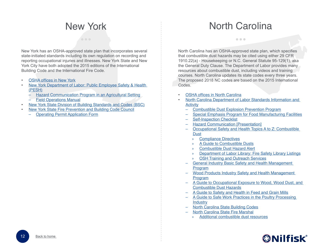#### New York

<span id="page-11-0"></span>New York has an OSHA-approved state plan that incorporates several state-initiated standards including its own regulation on recording and reporting occupational injuries and illnesses. New York State and New York City have both adopted the 2015 editions of the International Building Code and the International Fire Code.

- [OSHA offices in New York](https://www.osha.gov/oshdir/ny.html)
- [New York Department of Labor: Public Employee Safety & Health](https://labor.ny.gov/workerprotection/safetyhealth/DOSH_PESH.shtm)  [\(PESH\)](https://labor.ny.gov/workerprotection/safetyhealth/DOSH_PESH.shtm)
	- [Hazard Communication Program in an Agricultural Setting](https://www.labor.ny.gov/workerprotection/safetyhealth/doc/hazard%20communication%20program%20in%20an%20agricultural%20setting%20sample%20template%20140326.docx)
	- **[Field Operations Manual](https://www.labor.ny.gov/formsdocs/wp/peshfom.doc)**
- [New York State Division of Building Standards and Codes \(BSC\)](https://www.dos.ny.gov/dcea/)
- [New York State Fire Prevention and Building Code Council](https://www.dos.ny.gov/dcea/code_council.html)
	- [Operating Permit Application Form](https://www.dos.ny.gov/DCEA/pdf/OP_c.doc)

North Carolina

 $\bullet\bullet\bullet$ 

North Carolina has an OSHA-approved state plan, which specifies that combustible dust hazards may be cited using either 29 CFR 1910.22(a) - Housekeeping or N.C. General Statute 95-129(1), aka the General Duty Clause. The Department of Labor provides many resources about combustible dust, including videos and training courses. North Carolina updates its state codes every three years. The proposed 2018 NC codes are based on the 2015 International Codes.

- **[OSHA offices in North Carolina](https://www.osha.gov/oshdir/nc.html)**
- [North Carolina Department of Labor Standards Information and](http://www.nclabor.com/osha/etta/state_specific_rules/stds.htm)  **[Activity](http://www.nclabor.com/osha/etta/state_specific_rules/stds.htm)** 
	- [Combustible Dust Explosion Prevention Program](http://www.nclabor.com/osha/compliance/directives/CPL_03-00-008.pdf)
	- [Special Emphasis Program for Food Manufacturing Facilities](http://www.nclabor.com/osha/compliance/publicopn/opn140d.pdf)
	- **[Self-Inspection Checklist](http://www.nclabor.com/osha/etta/exampleprograms/Self_Inspection_Checklist.pdf)**
	- **[Hazard Communication \[Presentation\]](http://www.nclabor.com/osha/etta/presentations/hazcom.pptx)**
	- [Occupational Safety and Health Topics A to Z: Combustible](http://www.nclabor.com/osha/etta/A_to_Z_Topics/combustible_dust.htm)  **[Dust](http://www.nclabor.com/osha/etta/A_to_Z_Topics/combustible_dust.htm)** 
		- » [Compliance Directives](http://www.nclabor.com/osha/compliance/directives/cplindex.htm)
		- » [A Guide to Combustible Dusts](http://www.nclabor.com/osha/etta/indguide/ig43.pdf)
		- » [Combustible Dust Hazard Alert](http://www.nclabor.com/osha/etta/hazard_alerts/ha700.pdf)
		- » [Department of Labor Library: Fire Safety Library Listings](https://www.labor.communications.its.state.nc.us/OSHPublic/ETTA/class_regist/library/libraryListings.cfm?category=Fire%20Safety)
		- **[OSH Training and Outreach Services](http://www.nclabor.com/osha/etta/outreach/outreachprocedure.htm)**
	- [General Industry Basic Safety and Health Management](http://www.nclabor.com/osha/etta/indguide/ig110.doc)  [Program](http://www.nclabor.com/osha/etta/indguide/ig110.doc)
	- [Wood Products Industry Safety and Health Management](http://www.nclabor.com/osha/etta/indguide/ig103.pdf)  [Program](http://www.nclabor.com/osha/etta/indguide/ig103.pdf)
	- [A Guide to Occupational Exposure to Wood, Wood Dust, and](http://www.nclabor.com/osha/etta/indguide/ig19.pdf)  [Combustible Dust Hazards](http://www.nclabor.com/osha/etta/indguide/ig19.pdf)
	- [A Guide to Safety and Health in Feed and Grain Mills](http://www.nclabor.com/osha/etta/indguide/ig29.pdf)
	- [A Guide to Safe Work Practices in the Poultry Processing](http://www.nclabor.com/osha/etta/indguide/ig34.pdf)  **[Industry](http://www.nclabor.com/osha/etta/indguide/ig34.pdf)**
	- [North Carolina State Building Codes](http://www.ncdoi.com/OSFM/Engineering_and_Codes/Default.aspx?field1=Codes_-_Current_and_Past&user=State_Building_Codes)
	- [North Carolina State Fire Marshal](http://www.ncdoi.com/osfm/)
		- » [Additional combustible dust resources](http://www.ncdoi.com/OSFM/SearchOSFM.aspx?q=combustible+dust)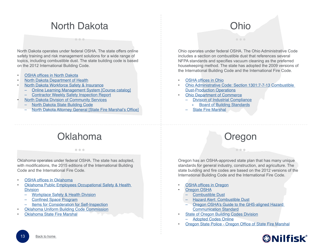#### North Dakota

 $\begin{array}{c} \bullet & \bullet & \bullet \end{array}$ 

<span id="page-12-0"></span>North Dakota operates under federal OSHA. The state offers online safety training and risk management solutions for a wide range of topics, including combustible dust. The state building code is based on the 2012 International Building Code.

- **[OSHA offices in North Dakota](https://www.osha.gov/oshdir/nd.htmlhttp://)**
- [North Dakota Department of Health](https://www.ndhealth.gov/aq/iaq/asb/)
- [North Dakota Workforce Safety & Insurance](https://www.workforcesafety.com/)
	- [Online Learning Management System \[Course catalog\]](https://www.workforcesafety.com/sites/default/files/employers/LMS_2014_Book.pdf)
	- [Contractor Weekly Safety Inspection Report](https://www.workforcesafety.com/sites/default/files/employers/ContractorSafetyInspectionReport.pdf)
- [North Dakota Division of Community Services](https://www.communityservices.nd.gov/buildingcode/)
	- [North Dakota State Building Code](https://www.communityservices.nd.gov/uploads/28/2014northdakotastatebuildingcodebookfinal10.13.pdf)
	- [North Dakota Attorney General \[State Fire Marshal's Office\]](https://attorneygeneral.nd.gov/)

#### **Oklahoma**

 $\bullet$   $\bullet$   $\bullet$ 

Oklahoma operates under federal OSHA. The state has adopted, with modifications, the 2015 editions of the International Building Code and the International Fire Code.

- [OSHA offices in Oklahoma](https://www.osha.gov/oshdir/ok.html)
- [Oklahoma Public Employees Occupational Safety & Health](https://www.ok.gov/odol/Services/Public_Safety_and_Health_(PEOSH)/index.html)  [Division](https://www.ok.gov/odol/Services/Public_Safety_and_Health_(PEOSH)/index.html)
	- [Workplace Safety & Health Division](https://www.ok.gov/odol/Services/Workplace_Safety_and_Health/index.html)
	- [Confined Space Program](https://www.ok.gov/odol/documents/confsp.pdf)
	- [Items for Consideration for Self-Inspection](https://www.ok.gov/odol/documents/selfinsp.pdf)
- [Oklahoma Uniform Building Code Commission](https://www.ok.gov/oubcc/)
- [Oklahoma State Fire Marshal](https://www.ok.gov/fire/)

#### Ohio

Ohio operates under federal OSHA. The Ohio Administrative Code includes a section on combustible dust that references several NFPA standards and specifies vacuum cleaning as the preferred housekeeping method. The state has adopted the 2009 versions of the International Building Code and the International Fire Code.

- [OSHA offices in Ohio](https://www.osha.gov/oshdir/oh.html)
- [Ohio Administrative Code: Section 1301:7-7-13 Combustible](http://codes.ohio.gov/oac/1301:7-7-13)  [Dust-Production Operations](http://codes.ohio.gov/oac/1301:7-7-13)
- [Ohio Department of Commerce](http://www.com.ohio.gov/default.aspx)
	- [Division of Industrial Compliance](http://com.ohio.gov/dico/default.aspx)
		- » [Board of Building Standards](http://www.com.ohio.gov/dico/bbs/)
	- [State Fire Marshal](http://com.ohio.gov/fire/)

#### Oregon

 $\bullet\bullet\bullet$ 

Oregon has an OSHA-approved state plan that has many unique standards for general industry, construction, and agriculture. The state building and fire codes are based on the 2012 versions of the International Building Code and the International Fire Code.

- **[OSHA offices in Oregon](https://www.osha.gov/oshdir/or.html)**
- **[Oregon OSHA](http://osha.oregon.gov/Pages/index.aspx)**
- [Combustible Dust](http://osha.oregon.gov/Pages/topics/combustible-dust.aspx)
- [Hazard Alert: Combustible Dust](http://osha.oregon.gov/OSHAPubs/hazard/2993-17.pdf)
- [Oregon OSHA's Guide to the GHS-aligned Hazard](http://osha.oregon.gov/OSHAPubs/4960.pdf)  Communication Standard
- [State of Oregon Building Codes Division](http://www.oregon.gov/bcd/pages/index.aspx)
	- [Adopted Codes Online](http://www.oregon.gov/bcd/codes-stand/Pages/adopted-codes.aspx)
- [Oregon State Police Oregon Office of State Fire Marshal](http://www.oregon.gov/osp/SFM/pages/index.aspx)

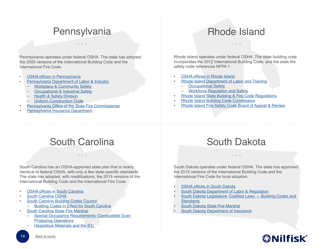#### **Pennsylvania**

<span id="page-13-0"></span>Pennsylvania operates under federal OSHA. The state has adopted the 2009 versions of the International Building Code and the International Fire Code.

- **[OSHA offices in Pennsylvania](https://www.osha.gov/oshdir/pa.html)**
- [Pennsylvania Department of Labor & Industry](http://www.dli.pa.gov/)
	- [Workplace & Community Safety](http://www.dli.pa.gov/businesses/compensation/workplace-comm-safety/pages/default.aspx)
	- [Occupational & Industrial Safety](http://www.dli.pa.gov/Individuals/Labor-Management-Relations/bois/Pages/default.aspx)
	- [Health & Safety Division](http://www.dli.pa.gov/Businesses/Compensation/WC/safety/Pages/default.aspx)
	- [Uniform Construction Code](http://www.dli.pa.gov/ucc/pages/default.aspx)
- [Pennsylvania Office of the State Fire Commissioner](http://www.osfc.pa.gov/Pages/default.aspx)
- [Pennsylvania Insurance Department](http://www.insurance.pa.gov/Pages/default.aspx)

#### Rhode Island

Rhode Island operates under federal OSHA. The state building code incorporates the 2012 International Building Code, and the state fire safety code references NFPA 1.

- **[OSHA offices in Rhode Island](https://www.osha.gov/oshdir/ri.html)**
- [Rhode Island Department of Labor and Training](http://www.dlt.ri.gov/)
	- [Occupational Safety](http://www.dlt.ri.gov/occusafe/)
	- [Workforce Regulation and Safety](http://www.dlt.ri.gov/wrs/)
- [Rhode Island State Building & Fire Code Regulations](http://sos.ri.gov/divisions/Open-Government/State/rules-and-regulations/building-and-fire-codes)
- [Rhode Island Building Code Commission](http://www.ribcc.ri.gov/)
- [•](https://www.nh.gov/safety/divisions/firesafety/bulletins/index.html) [Rhode Island Fire Safety Code Board of Appeal & Review](http://www.fsc.ri.gov/)

#### South Carolina

South Carolina has an OSHA-approved state plan that is nearly identical to federal OSHA, with only a few state-specific standards. The state has adopted, with modifications, the 2015 versions of the International Building Code and the International Fire Code.

- **[OSHA offices in South Carolina](https://www.osha.gov/oshdir/sc.html)**
- [South Carolina OSHA](http://www.scosha.llronline.com/)
- [South Carolina Building Codes Council](http://www.llr.state.sc.us/pol/bcc/index.asp?file=BCCinfo.htm)
- [Building Codes in Effect for South Carolina](http://www.llr.state.sc.us/pol/bcc/PDFfiles/Building%20Codes%20in%20Effect%20for%20South%20Carolina.pdf)
- [South Carolina State Fire Marshal](http://statefire.llr.sc.gov/)
	- [Special Occupancy Requirements: Combustible Dust-](http://www.scfiremarshal.llronline.com/Certification/FORMS/IFC%20Chapters%2020,%2021,%2022%20(2012)%20Special%20Occupancy%20Requirements.pdf)[Producing Operations](http://www.scfiremarshal.llronline.com/Certification/FORMS/IFC%20Chapters%2020,%2021,%2022%20(2012)%20Special%20Occupancy%20Requirements.pdf)
	- [Hazardous Materials and the IFC](http://www.scfiremarshal.llronline.com/Certification/FORMS/3rd%20Quarter%20Full%20Color.pdf)

#### South Dakota

South Dakota operates under federal OSHA. The state has approved the 2015 versions of the International Building Code and the International Fire Code for local adoption.

- [OSHA offices in South Dakota](https://www.osha.gov/oshdir/sd.html)
- [South Dakota Department of Labor & Regulation](http://dlr.sd.gov/)
- [South Dakota Legislature: Codified Laws Building Codes and](http://sdlegislature.gov/Statutes/Codified_Laws/DisplayStatute.aspx?Type=Statute&Statute=11-10)  **[Standards](http://sdlegislature.gov/Statutes/Codified_Laws/DisplayStatute.aspx?Type=Statute&Statute=11-10)**
- [South Dakota State Fire Marshal](https://dps.sd.gov/emergency-services/state-fire-marshal)
- [South Dakota Department of Insurance](http://dlr.sd.gov/insurance/default.aspx)

#### **@Nilfisk**®

Back to home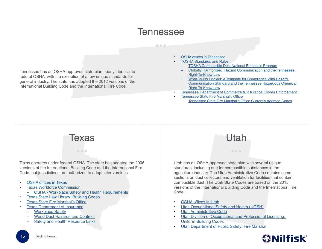#### **Tennessee**

#### $0.0.0$

<span id="page-14-0"></span>Tennessee has an OSHA-approved state plan nearly identical to federal OSHA, with the exception of a few unique standards for general industry. The state has adopted the 2012 versions of the International Building Code and the International Fire Code.

- [OSHA offices in Tennessee](https://www.osha.gov/oshdir/tn.html)
- [TOSHA Standards and Rules](http://www.tn.gov/workforce/article/standards-and-rules)
- [TOSHA Combustible Dust National Emphasis Program](https://www.tn.gov/assets/entities/labor/attachments/CPL-TN-03-00-008.pdf)
- [Globally Harmonized Hazard Communication and the Tennessee](https://www.tn.gov/assets/entities/labor/attachments/GHS_HazCom_TOSHA.pptx)  [Right-To-Know Law](https://www.tn.gov/assets/entities/labor/attachments/GHS_HazCom_TOSHA.pptx)
- [What-To-Do Booklet: A Template for Compliance With Hazard](https://www.tn.gov/assets/entities/labor/attachments/WhatToDoBookletGHS.pdf)  [Communication Standard and the Tennessee Hazardous Chemical](https://www.tn.gov/assets/entities/labor/attachments/WhatToDoBookletGHS.pdf)  [Right-To-Know Law](https://www.tn.gov/assets/entities/labor/attachments/WhatToDoBookletGHS.pdf)
- [Tennessee Department of Commerce & Insurance: Codes Enforcement](https://tn.gov/commerce/topic/fire-codes-enforcement)
- [Tennessee State Fire Marshal's Office](https://www.tn.gov/commerce/section/fire-prevention)
	- [Tennessee State Fire Marshal's Office Currently Adopted Codes](https://tn.gov/assets/entities/commerce/attachments/2016.08.04_sfmo_code_adoption_and_history.pdf)

Utah

## Texas

Texas operates under federal OSHA. The state has adopted the 2006 versions of the International Building Code and the International Fire Code, but jurisdictions are authorized to adopt later versions.

 $\bullet$   $\bullet$   $\bullet$ 

- [OSHA offices in Texas](https://www.osha.gov/oshdir/tx.html)
- **[Texas Workforce Commission](http://www.twc.state.tx.us/)** 
	- [OSHA Workplace Safety and Health Requirements](http://www.twc.state.tx.us/news/efte/osha.html)
- **[Texas State Law Library: Building Codes](https://www.sll.texas.gov/law-legislation/building-codes/)**
- **[Texas State Fire Marshal's Office](http://www.tdi.texas.gov/fire/index.html)**
- **[Texas Department of Insurance](http://www.tdi.texas.gov/)** 
	- **[Workplace Safety](http://www.tdi.texas.gov/wc/safety/index.html)**
	- [Wood Dust Hazards and Controls](http://www.tdi.texas.gov/pubs/videoresource/t5wooddust.pdf)
	- **[Safety and Health Resource Links](http://www.tdi.texas.gov/wc/safety/videoresources/govunivlinks.html)**

Utah has an OSHA-approved state plan with several unique standards, including one for combustible substances in the agriculture industry. The Utah Administrative Code contains some sections on dust collectors and ventilation for facilities that contain combustible dust. The Utah State Codes are based on the 2015 versions of the International Building Code and the International Fire Code.

- [OSHA offices in Utah](https://www.osha.gov/oshdir/ut.html)
- [Utah Occupational Safety and Health \(UOSH\)](https://laborcommission.utah.gov/divisions/UOSH/)
- [Utah Administrative Code](https://rules.utah.gov/publicat/code/r614/r614-004.htm)
- Utah Division of Occupational and Professional Licensing: [Uniform Building Codes](https://dopl.utah.gov/programs/ubc/)
- **[Utah Department of Public Safety: Fire Marshal](https://firemarshal.utah.gov/)**

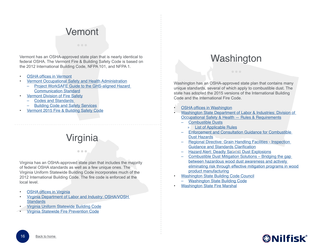#### Vemont

<span id="page-15-0"></span>Vermont has an OSHA-approved state plan that is nearly identical to federal OSHA. The Vermont Fire & Building Safety Code is based on the 2012 International Building Code, NFPA 101, and NFPA 1.

- **[OSHA offices in Vermont](https://www.osha.gov/oshdir/vt.html)**
- [Vermont Occupational Safety and Health Administration](http://labor.vermont.gov/vosha/vosha-osha-rules/)
	- [Project WorkSAFE Guide to the GHS-aligned Hazard](http://labor.vermont.gov/wordpress/wp-content/uploads/Project-WorkSAFE-Guide-to-the-GHS.pdf)  [Communication Standard](http://labor.vermont.gov/wordpress/wp-content/uploads/Project-WorkSAFE-Guide-to-the-GHS.pdf)
- [Vermont Division of Fire Safety](http://firesafety.vermont.gov/)
	- [Codes and Standards](http://firesafety.vermont.gov/buildingcode/codes)
	- [Building Code and Safety Services](http://firesafety.vermont.gov/buildingcode)
- [Vermont 2015 Fire & Building Safety Code](http://firesafety.vermont.gov/sites/firesafety/files/files/rules/dfs_rules_firecode2015_current.pdf)

### Virginia

 $\bullet$   $\bullet$   $\bullet$ 

Virginia has an OSHA-approved state plan that includes the majority of federal OSHA standards as well as a few unique ones. The Virginia Uniform Statewide Building Code incorporates much of the 2012 International Building Code. The fire code is enforced at the local level.

- **[OSHA offices in Virginia](https://www.osha.gov/oshdir/va.html)**
- [Virginia Department of Labor and Industry: OSHA/VOSH](http://www.doli.virginia.gov/vosh_enforcement/vosh_standards.html)  **[Standards](http://www.doli.virginia.gov/vosh_enforcement/vosh_standards.html)**
- [Virginia Uniform Statewide Building Code](http://www.dhcd.virginia.gov/index.php/va-building-codes/building-and-fire-codes/regulations/uniform-statewide-building-code-usbc.html)
- [Virginia Statewide Fire Prevention Code](http://www.dhcd.virginia.gov/index.php/va-building-codes/building-and-fire-codes/regulations/statewide-fire-prevention-code-sfpc.html)

#### **Washington**

Washington has an OSHA-approved state plan that contains many unique standards, several of which apply to combustible dust. The state has adopted the 2015 versions of the International Building Code and the International Fire Code.

- **[OSHA offices in Washington](https://www.osha.gov/oshdir/wa.html)**
- [Washington State Department of Labor & Industries: Division of](http://www.lni.wa.gov/Safety/Rules/?F=M)  [Occupational Safety & Health — Rules & Requirements](http://www.lni.wa.gov/Safety/Rules/?F=M)
	- [Combustible Dusts](http://www.lni.wa.gov/Safety/Topics/AtoZ/combustibledusts/)
		- » [List of Applicable Rules](http://www.lni.wa.gov/Safety/Topics/AtoZ/combustibledusts/rules.asp)
	- [Enforcement and Consultation Guidance for Combustible](http://www.lni.wa.gov/safety/rules/policies/pdfs/wrd1285.pdf)  [Dust Hazards](http://www.lni.wa.gov/safety/rules/policies/pdfs/wrd1285.pdf)
	- [Regional Directive: Grain Handling Facilities Inspection](http://www.lni.wa.gov/Safety/Rules/Policies/PDFs/wrd893b.pdf)  [Guidance and Standards Clarification](http://www.lni.wa.gov/Safety/Rules/Policies/PDFs/wrd893b.pdf)
	- Hazard Alert: Deadly Sa.vini. Dust Explosions
	- [Combustible Dust Mitigation Solutions](http://www.lni.wa.gov/safety/GrantsPartnerships/SHIP/awardees/timberProductsMfg/CombustibleDustMitigationSolutions.asp) Bridging the gap between hazardous wood dust awareness and actively eliminating risk through effective mitigation programs in wood product manufacturing
- [Washington State Building Code Council](https://fortress.wa.gov/ga/apps/SBCC/)
	- [Washington State Building Code](https://fortress.wa.gov/ga/apps/sbcc/page.aspx?nid=14)
- **[Washington State Fire Marshal](http://www.wsp.wa.gov/fire/firemars.htm)**

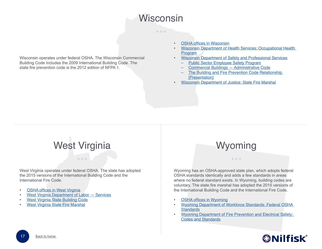#### **Wisconsin**

<span id="page-16-0"></span>Wisconsin operates under federal OSHA. The Wisconsin Commercial Building Code includes the 2009 International Building Code. The state fire prevention code is the 2012 edition of NFPA 1.

- [OSHA offices in Wisconsin](https://www.osha.gov/oshdir/wi.html)
- [Wisconsin Department of Health Services: Occupational Health](https://www.dhs.wisconsin.gov/occupational-health/index.htm)  [Program](https://www.dhs.wisconsin.gov/occupational-health/index.htm)
- [Wisconsin Department of Safety and Professional Services](http://dsps.wi.gov/)
	- [Public Sector Employee Safety Program](http://dsps.wi.gov/Programs/Industry-Services/Industry-Services-Programs/Public-Sector-Employee-Safety/)
	- [Commercial Buildings Administrative Code](http://dsps.wi.gov/Programs/Industry-Services/Industry-Services-Programs/Commercial-Buildings/Commercial-Buildings-Admin-Code)
	- The Building and Fire Prevention Code Relationship [\[Presentation\]](http://www.dsps.wi.gov/Documents/Industry%20Services/Forms/Commercial%20Buildings/Building%20Code%20Fire%20Prevention%20Code.pdf)
	- **[Wisconsin Department of Justice: State Fire Marshal](https://www.doj.state.wi.us/dci/state-fire-marshal)**

## West Virginia

West Virginia operates under federal OSHA. The state has adopted the 2015 versions of the International Building Code and the International Fire Code.

- **[OSHA offices in West Virginia](https://www.osha.gov/oshdir/wv.html)**
- [West Virginia Department of Labor Services](http://www.wvcommerce.org/info/aboutcommerce/labor/services.aspx)
- [West Virginia State Building Code](http://www.firemarshal.wv.gov/Documents/Laws%20and%20Code/State%20Building%20Code%2087CSR4.pdf)
- [West Virginia State Fire Marshal](http://www.firemarshal.wv.gov/about/Pages/StateFireMarshal.aspx)

#### **Wyoming**

Wyoming has an OSHA-approved state plan, which adopts federal OSHA standards identically and adds a few standards in areas where no federal standard exists. In Wyoming, building codes are voluntary. The state fire marshal has adopted the 2015 versions of the International Building Code and the International Fire Code.

- [OSHA offices in Wyoming](https://www.osha.gov/oshdir/wy.html)
- [Wyoming Department of Workforce Standards: Federal OSHA](http://wyomingworkforce.org/businesses/osha/standards/)  **[Standards](http://wyomingworkforce.org/businesses/osha/standards/)**
- [Wyoming Department of Fire Prevention and Electrical Safety:](http://wsfm.wyo.gov/plan-review/codes-and-standards)  [Codes and Standards](http://wsfm.wyo.gov/plan-review/codes-and-standards)